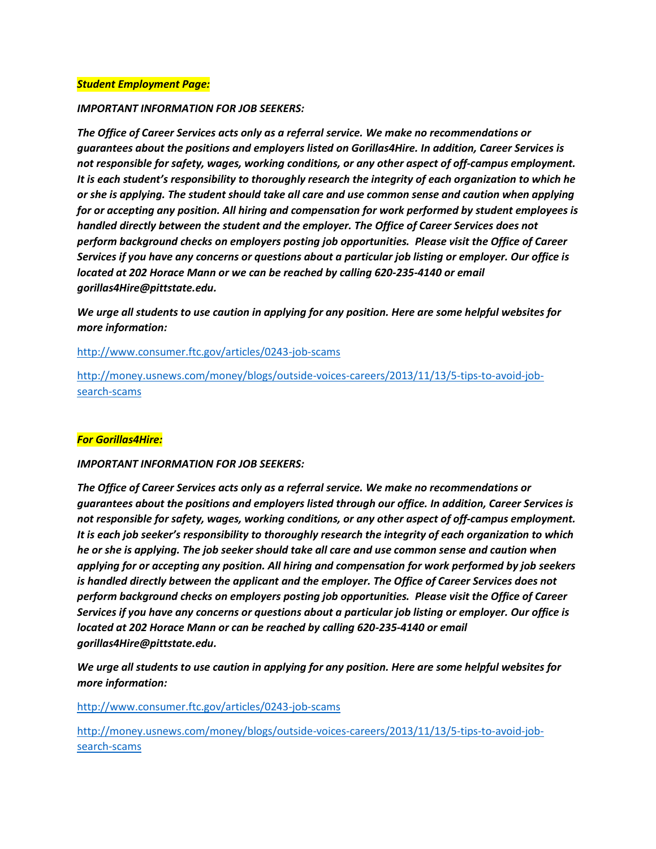# *Student Employment Page:*

# *IMPORTANT INFORMATION FOR JOB SEEKERS:*

*The Office of Career Services acts only as a referral service. We make no recommendations or guarantees about the positions and employers listed on Gorillas4Hire. In addition, Career Services is not responsible for safety, wages, working conditions, or any other aspect of off-campus employment. It is each student's responsibility to thoroughly research the integrity of each organization to which he or she is applying. The student should take all care and use common sense and caution when applying for or accepting any position. All hiring and compensation for work performed by student employees is handled directly between the student and the employer. The Office of Career Services does not perform background checks on employers posting job opportunities. Please visit the Office of Career Services if you have any concerns or questions about a particular job listing or employer. Our office is located at 202 Horace Mann or we can be reached by calling 620-235-4140 or email gorillas4Hire@pittstate.edu.*

*We urge all students to use caution in applying for any position. Here are some helpful websites for more information:*

<http://www.consumer.ftc.gov/articles/0243-job-scams>

[http://money.usnews.com/money/blogs/outside-voices-careers/2013/11/13/5-tips-to-avoid-job](http://money.usnews.com/money/blogs/outside-voices-careers/2013/11/13/5-tips-to-avoid-job-search-scams)[search-scams](http://money.usnews.com/money/blogs/outside-voices-careers/2013/11/13/5-tips-to-avoid-job-search-scams)

### *For Gorillas4Hire:*

### *IMPORTANT INFORMATION FOR JOB SEEKERS:*

*The Office of Career Services acts only as a referral service. We make no recommendations or guarantees about the positions and employers listed through our office. In addition, Career Services is not responsible for safety, wages, working conditions, or any other aspect of off-campus employment. It is each job seeker's responsibility to thoroughly research the integrity of each organization to which he or she is applying. The job seeker should take all care and use common sense and caution when applying for or accepting any position. All hiring and compensation for work performed by job seekers is handled directly between the applicant and the employer. The Office of Career Services does not perform background checks on employers posting job opportunities. Please visit the Office of Career Services if you have any concerns or questions about a particular job listing or employer. Our office is located at 202 Horace Mann or can be reached by calling 620-235-4140 or email gorillas4Hire@pittstate.edu.*

*We urge all students to use caution in applying for any position. Here are some helpful websites for more information:*

<http://www.consumer.ftc.gov/articles/0243-job-scams>

[http://money.usnews.com/money/blogs/outside-voices-careers/2013/11/13/5-tips-to-avoid-job](http://money.usnews.com/money/blogs/outside-voices-careers/2013/11/13/5-tips-to-avoid-job-search-scams)[search-scams](http://money.usnews.com/money/blogs/outside-voices-careers/2013/11/13/5-tips-to-avoid-job-search-scams)